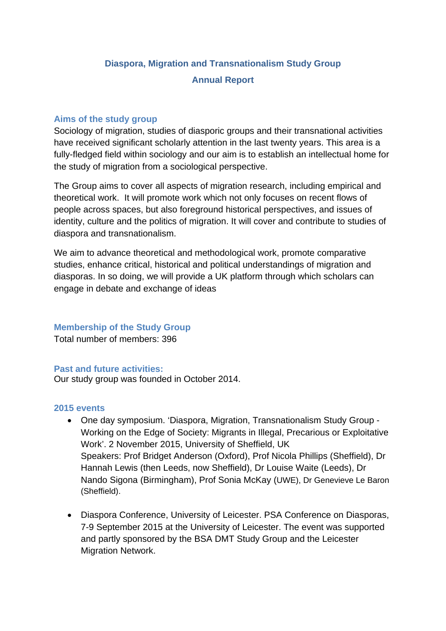# **Diaspora, Migration and Transnationalism Study Group Annual Report**

## **Aims of the study group**

Sociology of migration, studies of diasporic groups and their transnational activities have received significant scholarly attention in the last twenty years. This area is a fully-fledged field within sociology and our aim is to establish an intellectual home for the study of migration from a sociological perspective.

The Group aims to cover all aspects of migration research, including empirical and theoretical work. It will promote work which not only focuses on recent flows of people across spaces, but also foreground historical perspectives, and issues of identity, culture and the politics of migration. It will cover and contribute to studies of diaspora and transnationalism.

We aim to advance theoretical and methodological work, promote comparative studies, enhance critical, historical and political understandings of migration and diasporas. In so doing, we will provide a UK platform through which scholars can engage in debate and exchange of ideas

## **Membership of the Study Group**

Total number of members: 396

## **Past and future activities:**

Our study group was founded in October 2014.

#### **2015 events**

- One day symposium. 'Diaspora, Migration, Transnationalism Study Group Working on the Edge of Society: Migrants in Illegal, Precarious or Exploitative Work'. 2 November 2015, University of Sheffield, UK Speakers: Prof Bridget Anderson (Oxford), Prof Nicola Phillips (Sheffield), Dr Hannah Lewis (then Leeds, now Sheffield), Dr Louise Waite (Leeds), Dr Nando Sigona (Birmingham), Prof Sonia McKay (UWE), Dr Genevieve Le Baron (Sheffield).
- Diaspora Conference, University of Leicester. PSA Conference on Diasporas, 7-9 September 2015 at the University of Leicester. The event was supported and partly sponsored by the BSA DMT Study Group and the Leicester Migration Network.